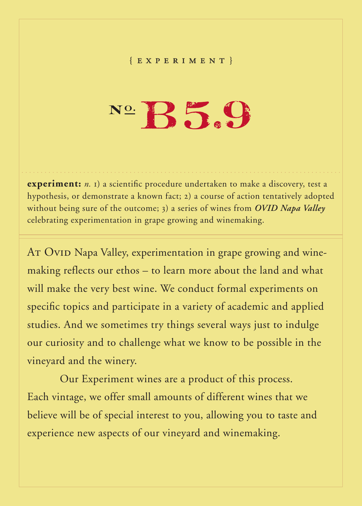## { experimen t }

## $N^{\circ}$   $B5.9$

**experiment:** *n.* 1) a scientific procedure undertaken to make a discovery, test a hypothesis, or demonstrate a known fact; 2) a course of action tentatively adopted without being sure of the outcome; 3) a series of wines from *OVID Napa Valley* celebrating experimentation in grape growing and winemaking.

AT OVID Napa Valley, experimentation in grape growing and winemaking reflects our ethos – to learn more about the land and what will make the very best wine. We conduct formal experiments on specific topics and participate in a variety of academic and applied studies. And we sometimes try things several ways just to indulge our curiosity and to challenge what we know to be possible in the vineyard and the winery.

Our Experiment wines are a product of this process. Each vintage, we offer small amounts of different wines that we believe will be of special interest to you, allowing you to taste and experience new aspects of our vineyard and winemaking.